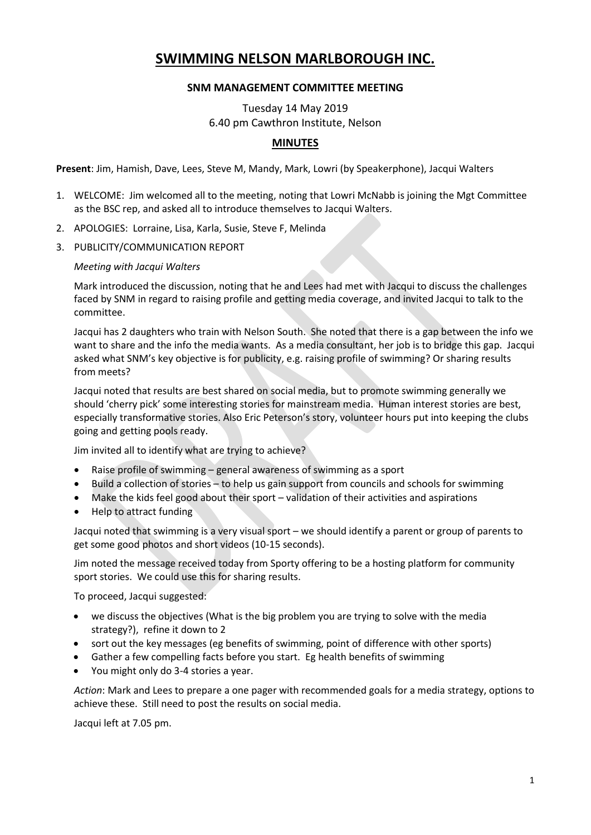# **SWIMMING NELSON MARLBOROUGH INC.**

# **SNM MANAGEMENT COMMITTEE MEETING**

Tuesday 14 May 2019 6.40 pm Cawthron Institute, Nelson

# **MINUTES**

**Present**: Jim, Hamish, Dave, Lees, Steve M, Mandy, Mark, Lowri (by Speakerphone), Jacqui Walters

- 1. WELCOME: Jim welcomed all to the meeting, noting that Lowri McNabb is joining the Mgt Committee as the BSC rep, and asked all to introduce themselves to Jacqui Walters.
- 2. APOLOGIES: Lorraine, Lisa, Karla, Susie, Steve F, Melinda
- 3. PUBLICITY/COMMUNICATION REPORT

## *Meeting with Jacqui Walters*

Mark introduced the discussion, noting that he and Lees had met with Jacqui to discuss the challenges faced by SNM in regard to raising profile and getting media coverage, and invited Jacqui to talk to the committee.

Jacqui has 2 daughters who train with Nelson South. She noted that there is a gap between the info we want to share and the info the media wants. As a media consultant, her job is to bridge this gap. Jacqui asked what SNM's key objective is for publicity, e.g. raising profile of swimming? Or sharing results from meets?

Jacqui noted that results are best shared on social media, but to promote swimming generally we should 'cherry pick' some interesting stories for mainstream media. Human interest stories are best, especially transformative stories. Also Eric Peterson's story, volunteer hours put into keeping the clubs going and getting pools ready.

Jim invited all to identify what are trying to achieve?

- Raise profile of swimming general awareness of swimming as a sport
- Build a collection of stories to help us gain support from councils and schools for swimming
- Make the kids feel good about their sport validation of their activities and aspirations
- Help to attract funding

Jacqui noted that swimming is a very visual sport – we should identify a parent or group of parents to get some good photos and short videos (10-15 seconds).

Jim noted the message received today from Sporty offering to be a hosting platform for community sport stories. We could use this for sharing results.

To proceed, Jacqui suggested:

- we discuss the objectives (What is the big problem you are trying to solve with the media strategy?), refine it down to 2
- sort out the key messages (eg benefits of swimming, point of difference with other sports)
- Gather a few compelling facts before you start. Eg health benefits of swimming
- You might only do 3-4 stories a year.

*Action*: Mark and Lees to prepare a one pager with recommended goals for a media strategy, options to achieve these. Still need to post the results on social media.

Jacqui left at 7.05 pm.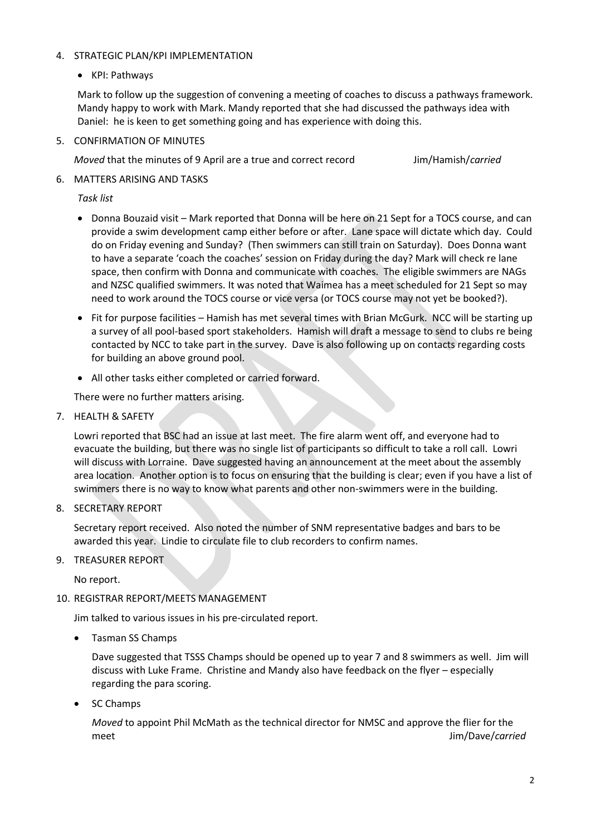## 4. STRATEGIC PLAN/KPI IMPLEMENTATION

• KPI: Pathways

Mark to follow up the suggestion of convening a meeting of coaches to discuss a pathways framework. Mandy happy to work with Mark. Mandy reported that she had discussed the pathways idea with Daniel: he is keen to get something going and has experience with doing this.

5. CONFIRMATION OF MINUTES

*Moved* that the minutes of 9 April are a true and correct record Jim/Hamish/*carried*

## 6. MATTERS ARISING AND TASKS

*Task list*

- Donna Bouzaid visit Mark reported that Donna will be here on 21 Sept for a TOCS course, and can provide a swim development camp either before or after. Lane space will dictate which day. Could do on Friday evening and Sunday? (Then swimmers can still train on Saturday). Does Donna want to have a separate 'coach the coaches' session on Friday during the day? Mark will check re lane space, then confirm with Donna and communicate with coaches. The eligible swimmers are NAGs and NZSC qualified swimmers. It was noted that Waimea has a meet scheduled for 21 Sept so may need to work around the TOCS course or vice versa (or TOCS course may not yet be booked?).
- Fit for purpose facilities Hamish has met several times with Brian McGurk. NCC will be starting up a survey of all pool-based sport stakeholders. Hamish will draft a message to send to clubs re being contacted by NCC to take part in the survey. Dave is also following up on contacts regarding costs for building an above ground pool.
- All other tasks either completed or carried forward.

There were no further matters arising.

7. HEALTH & SAFETY

Lowri reported that BSC had an issue at last meet. The fire alarm went off, and everyone had to evacuate the building, but there was no single list of participants so difficult to take a roll call. Lowri will discuss with Lorraine. Dave suggested having an announcement at the meet about the assembly area location. Another option is to focus on ensuring that the building is clear; even if you have a list of swimmers there is no way to know what parents and other non-swimmers were in the building.

8. SECRETARY REPORT

Secretary report received. Also noted the number of SNM representative badges and bars to be awarded this year. Lindie to circulate file to club recorders to confirm names.

9. TREASURER REPORT

No report.

10. REGISTRAR REPORT/MEETS MANAGEMENT

Jim talked to various issues in his pre-circulated report.

• Tasman SS Champs

Dave suggested that TSSS Champs should be opened up to year 7 and 8 swimmers as well. Jim will discuss with Luke Frame. Christine and Mandy also have feedback on the flyer – especially regarding the para scoring.

• SC Champs

*Moved* to appoint Phil McMath as the technical director for NMSC and approve the flier for the meet Jim/Dave/*carried*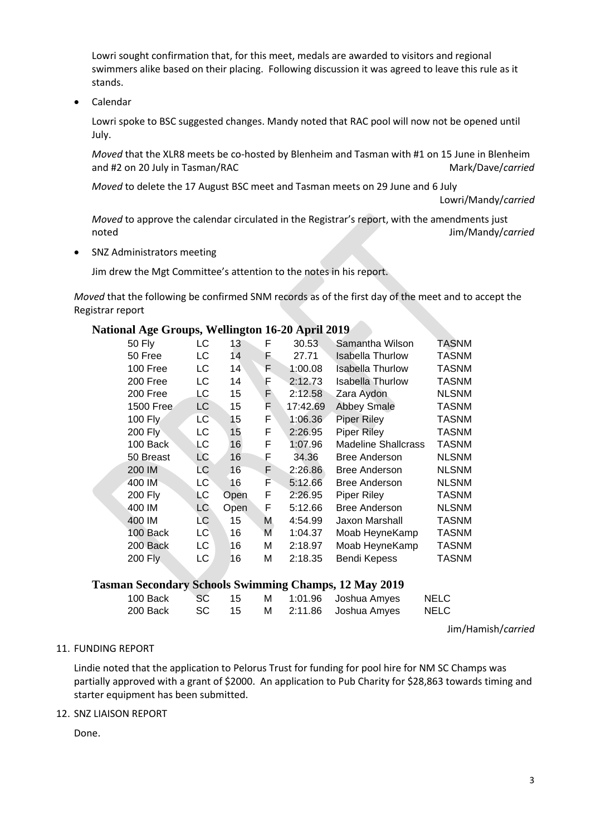Lowri sought confirmation that, for this meet, medals are awarded to visitors and regional swimmers alike based on their placing. Following discussion it was agreed to leave this rule as it stands.

• Calendar

Lowri spoke to BSC suggested changes. Mandy noted that RAC pool will now not be opened until July.

*Moved* that the XLR8 meets be co-hosted by Blenheim and Tasman with #1 on 15 June in Blenheim and #2 on 20 July in Tasman/RAC Mark/Dave/*carried* 

*Moved* to delete the 17 August BSC meet and Tasman meets on 29 June and 6 July

Lowri/Mandy/*carried*

*Moved* to approve the calendar circulated in the Registrar's report, with the amendments just noted Jim/Mandy/*carried*

• SNZ Administrators meeting

Jim drew the Mgt Committee's attention to the notes in his report.

*Moved* that the following be confirmed SNM records as of the first day of the meet and to accept the Registrar report

#### **National Age Groups, Wellington 16-20 April 2019**

|                |           | $\cdots$ |    |          |                            |              |
|----------------|-----------|----------|----|----------|----------------------------|--------------|
| 50 Fly         | LC        | 13       | F  | 30.53    | Samantha Wilson            | TASNM        |
| 50 Free        | LC        | 14       | F  | 27.71    | <b>Isabella Thurlow</b>    | TASNM        |
| 100 Free       | LC        | 14       | F  | 1:00.08  | <b>Isabella Thurlow</b>    | TASNM        |
| 200 Free       | LC        | 14       | F  | 2:12.73  | <b>Isabella Thurlow</b>    | TASNM        |
| 200 Free       | LC        | 15       | F. | 2:12.58  | Zara Aydon                 | <b>NLSNM</b> |
| 1500 Free      | LC        | 15       | F  | 17:42.69 | <b>Abbey Smale</b>         | TASNM        |
| 100 Fly        | LC.       | 15       | F  | 1:06.36  | <b>Piper Riley</b>         | <b>TASNM</b> |
| $200$ Fly      | LC        | 15       | F  | 2:26.95  | <b>Piper Riley</b>         | <b>TASNM</b> |
| 100 Back       | LС        | 16       | F  | 1:07.96  | <b>Madeline Shallcrass</b> | TASNM        |
| 50 Breast      | <b>LC</b> | 16       | F  | 34.36    | <b>Bree Anderson</b>       | <b>NLSNM</b> |
| 200 IM         | LC        | 16       | F  | 2:26.86  | <b>Bree Anderson</b>       | <b>NLSNM</b> |
| 400 IM         | LC        | 16       | F  | 5:12.66  | <b>Bree Anderson</b>       | <b>NLSNM</b> |
| 200 Fly        | LС        | Open     | F  | 2:26.95  | Piper Riley                | TASNM        |
| 400 IM         | LC        | Open     | F  | 5:12.66  | <b>Bree Anderson</b>       | <b>NLSNM</b> |
| 400 IM         | LC        | 15       | M  | 4:54.99  | Jaxon Marshall             | <b>TASNM</b> |
| 100 Back       | LC        | 16       | М  | 1:04.37  | Moab HeyneKamp             | <b>TASNM</b> |
| 200 Back       | LC        | 16       | М  | 2:18.97  | Moab HeyneKamp             | <b>TASNM</b> |
| <b>200 Fly</b> | LC        | 16       | М  | 2:18.35  | Bendi Kepess               | <b>TASNM</b> |
|                |           |          |    |          |                            |              |

#### **Tasman Secondary Schools Swimming Champs, 12 May 2019**

|  |  | 100 Back SC 15 M 1:01.96 Joshua Amyes | NELC |
|--|--|---------------------------------------|------|
|  |  | 200 Back SC 15 M 2:11.86 Joshua Amyes | NELC |

Jim/Hamish/*carried*

#### 11. FUNDING REPORT

Lindie noted that the application to Pelorus Trust for funding for pool hire for NM SC Champs was partially approved with a grant of \$2000. An application to Pub Charity for \$28,863 towards timing and starter equipment has been submitted.

#### 12. SNZ LIAISON REPORT

Done.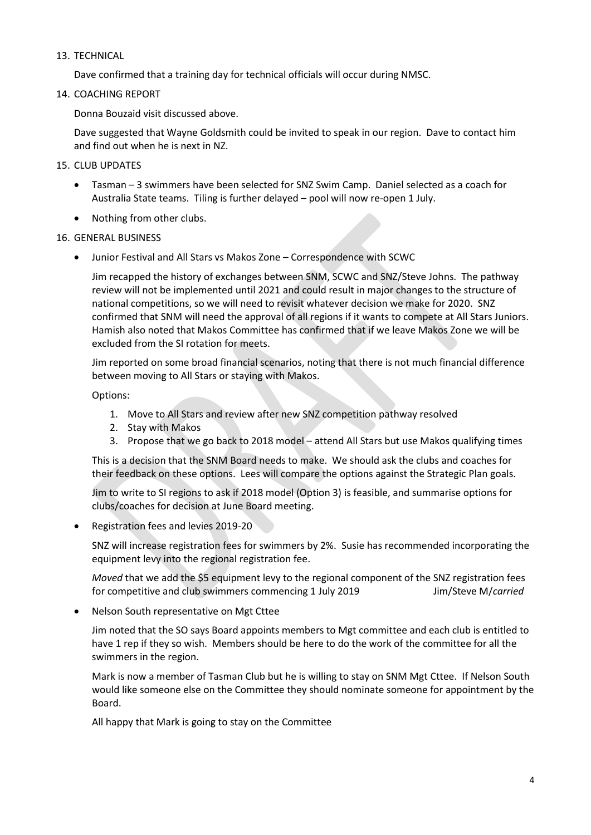## 13. TECHNICAL

Dave confirmed that a training day for technical officials will occur during NMSC.

14. COACHING REPORT

Donna Bouzaid visit discussed above.

Dave suggested that Wayne Goldsmith could be invited to speak in our region. Dave to contact him and find out when he is next in NZ.

- 15. CLUB UPDATES
	- Tasman 3 swimmers have been selected for SNZ Swim Camp. Daniel selected as a coach for Australia State teams. Tiling is further delayed – pool will now re-open 1 July.
	- Nothing from other clubs.

## 16. GENERAL BUSINESS

• Junior Festival and All Stars vs Makos Zone – Correspondence with SCWC

Jim recapped the history of exchanges between SNM, SCWC and SNZ/Steve Johns. The pathway review will not be implemented until 2021 and could result in major changes to the structure of national competitions, so we will need to revisit whatever decision we make for 2020. SNZ confirmed that SNM will need the approval of all regions if it wants to compete at All Stars Juniors. Hamish also noted that Makos Committee has confirmed that if we leave Makos Zone we will be excluded from the SI rotation for meets.

Jim reported on some broad financial scenarios, noting that there is not much financial difference between moving to All Stars or staying with Makos.

Options:

- 1. Move to All Stars and review after new SNZ competition pathway resolved
- 2. Stay with Makos
- 3. Propose that we go back to 2018 model attend All Stars but use Makos qualifying times

This is a decision that the SNM Board needs to make. We should ask the clubs and coaches for their feedback on these options. Lees will compare the options against the Strategic Plan goals.

Jim to write to SI regions to ask if 2018 model (Option 3) is feasible, and summarise options for clubs/coaches for decision at June Board meeting.

• Registration fees and levies 2019-20

SNZ will increase registration fees for swimmers by 2%. Susie has recommended incorporating the equipment levy into the regional registration fee.

*Moved* that we add the \$5 equipment levy to the regional component of the SNZ registration fees for competitive and club swimmers commencing 1 July 2019 Jim/Steve M/*carried*

• Nelson South representative on Mgt Cttee

Jim noted that the SO says Board appoints members to Mgt committee and each club is entitled to have 1 rep if they so wish. Members should be here to do the work of the committee for all the swimmers in the region.

Mark is now a member of Tasman Club but he is willing to stay on SNM Mgt Cttee. If Nelson South would like someone else on the Committee they should nominate someone for appointment by the Board.

All happy that Mark is going to stay on the Committee